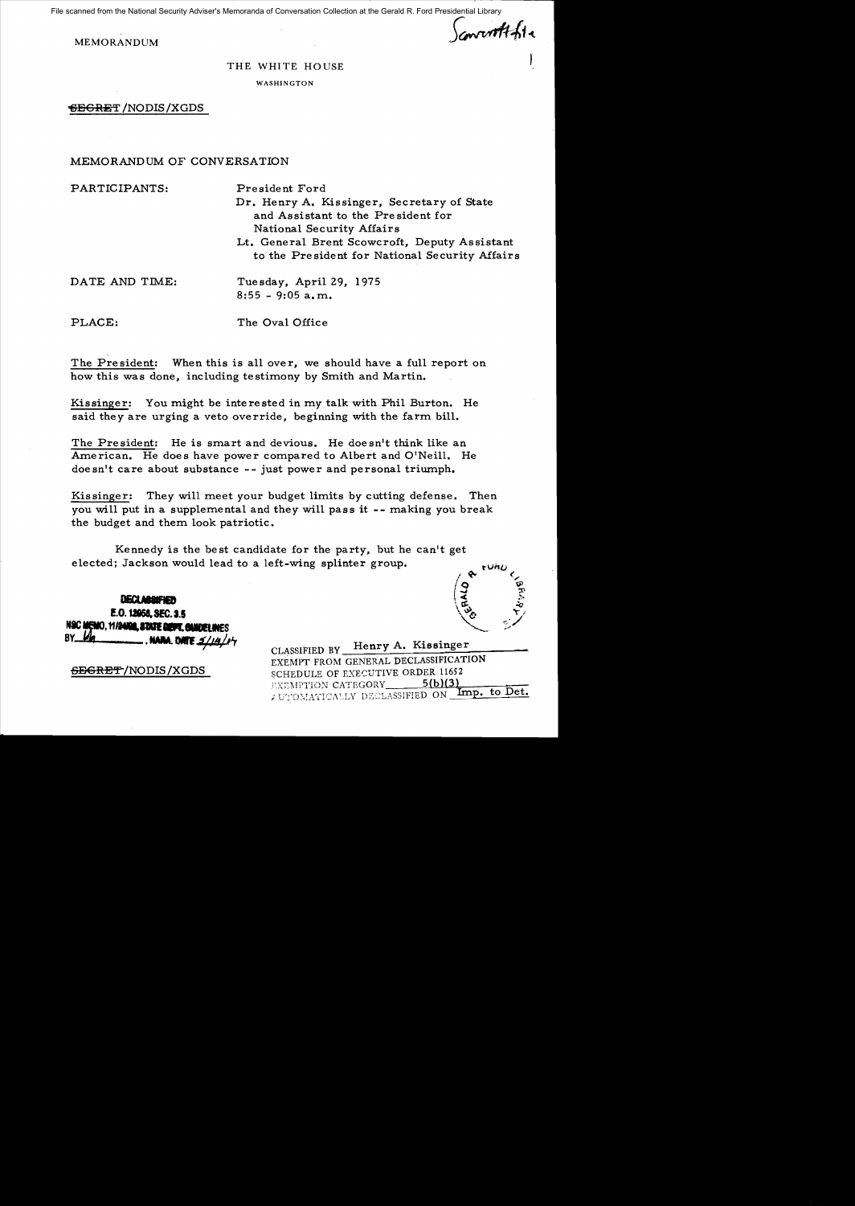File scanned from the National Security Adviser's Memoranda of Conversation Collection at the Gerald R. Ford Presidential Library

Sancorotthia

MEMORANDUM

## THE WHITE HOUSE

WASHINGTON

"613CRE'f' /NODIS/XGDS

## MEMORANDUM OF CONVERSATION

PLACE: The Oval Office

PARTICIPANTS: President Ford Dr. Henry A. Kissinger, Secretary of State and Assistant to the Pre sident for National Security Affairs Lt. General Brent Scowcroft, Deputy Assistant to the Pre sident for National Security Affairs DATE AND TIME: Tuesday, April 29, 1975  $8:55 - 9:05$  a.m.

The President: When this is all over, we should have a full report on how this was done, including testimony by Smith and Martin.

Kissinger: You might be interested in my talk with Phil Burton. He said they are urging a veto override, beginning with the farm bill.

The President: He is smart and devious. He doesn't think like an American. He does have power compared to Albert and O'Neill. He  $\text{doesn}^{\text{!}}$  t care about substance -- just power and personal triumph.

Kissinger: They will meet your budget limits by cutting defense. Then *you* will put in a supplemental and they will pass it -- making *you* break the budget and them look patriotic.

Kennedy is the best candidate for the party, but he can't get elected; Jackson would lead to a left-wing splinter group.

**DECULIADAPIER** E.O. U868,SEC. 3.5 Nac Memo, 11/2402, STATE DEPT. GUIDE!<br>BY\_*Un* 

I WE ON THE LATER ON Lines to Det. CLASSIFIED BY Henry A. Kissinger EXEMPT FROM GENERAL DECLASSIFICATION SEGRET/NODIS/XGDS SCHEDULE OF EXECUTIVE ORDER 11652 **FXEMPTION CATEGORY** 5(b)(3)